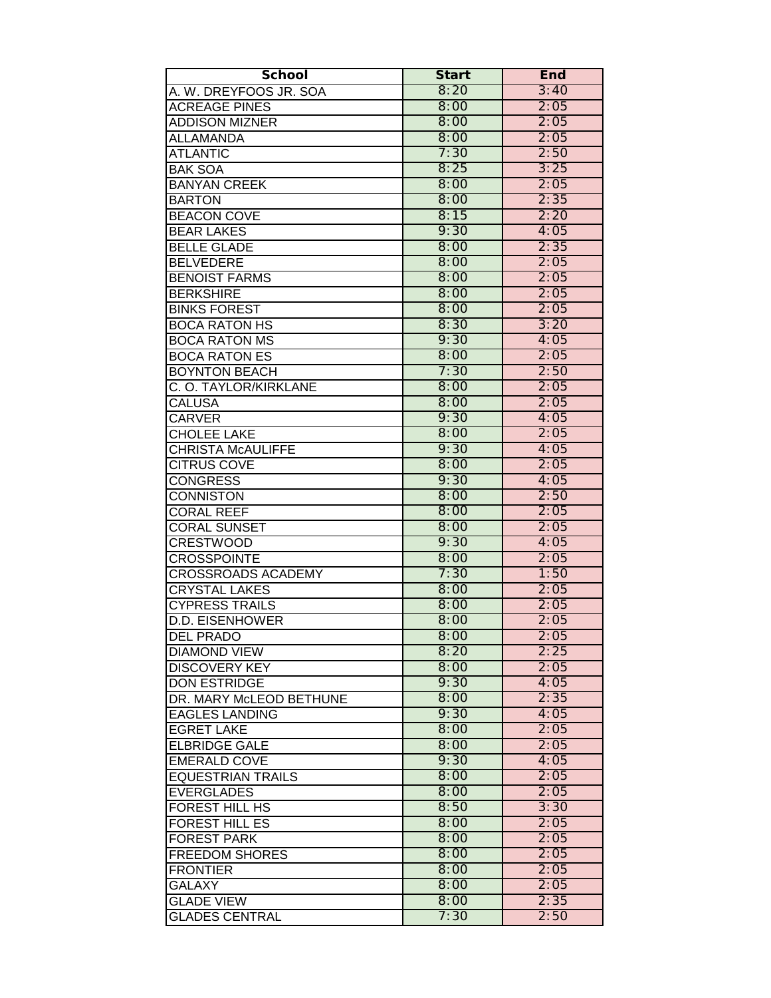| <b>School</b>             | <b>Start</b> | End  |
|---------------------------|--------------|------|
| A. W. DREYFOOS JR. SOA    | 8:20         | 3:40 |
| <b>ACREAGE PINES</b>      | 8:00         | 2:05 |
| <b>ADDISON MIZNER</b>     | 8:00         | 2:05 |
| ALLAMANDA                 | 8:00         | 2:05 |
| <b>ATLANTIC</b>           | 7:30         | 2:50 |
| <b>BAK SOA</b>            | 8:25         | 3:25 |
| <b>BANYAN CREEK</b>       | 8:00         | 2:05 |
| <b>BARTON</b>             | 8:00         | 2:35 |
| <b>BEACON COVE</b>        | 8:15         | 2:20 |
| <b>BEAR LAKES</b>         | 9:30         | 4:05 |
| <b>BELLE GLADE</b>        | 8:00         | 2:35 |
| <b>BELVEDERE</b>          | 8:00         | 2:05 |
| <b>BENOIST FARMS</b>      | 8:00         | 2:05 |
| <b>BERKSHIRE</b>          | 8:00         | 2:05 |
| <b>BINKS FOREST</b>       | 8:00         | 2:05 |
| <b>BOCA RATON HS</b>      | 8:30         | 3:20 |
| <b>BOCA RATON MS</b>      | 9:30         | 4:05 |
| <b>BOCA RATON ES</b>      | 8:00         | 2:05 |
| <b>BOYNTON BEACH</b>      | 7:30         | 2:50 |
| C. O. TAYLOR/KIRKLANE     | 8:00         | 2:05 |
| <b>CALUSA</b>             | 8:00         | 2:05 |
| <b>CARVER</b>             | 9:30         | 4:05 |
| <b>CHOLEE LAKE</b>        | 8:00         | 2:05 |
| <b>CHRISTA McAULIFFE</b>  | 9:30         | 4:05 |
| <b>CITRUS COVE</b>        | 8:00         | 2:05 |
| <b>CONGRESS</b>           | 9:30         | 4:05 |
| <b>CONNISTON</b>          | 8:00         | 2:50 |
| <b>CORAL REEF</b>         | 8:00         | 2:05 |
| <b>CORAL SUNSET</b>       | 8:00         | 2:05 |
| <b>CRESTWOOD</b>          | 9:30         | 4:05 |
| <b>CROSSPOINTE</b>        | 8:00         | 2:05 |
| <b>CROSSROADS ACADEMY</b> | 7:30         | 1:50 |
| <b>CRYSTAL LAKES</b>      | 8:00         | 2:05 |
| <b>CYPRESS TRAILS</b>     | 8:00         | 2:05 |
| <b>D.D. EISENHOWER</b>    | 8:00         | 2:05 |
| IDEL PRADO                | 8:00         | 2:05 |
| <b>DIAMOND VIEW</b>       | 8:20         | 2:25 |
| <b>DISCOVERY KEY</b>      | 8:00         | 2:05 |
| <b>DON ESTRIDGE</b>       | 9:30         | 4:05 |
| DR. MARY McLEOD BETHUNE   | 8:00         | 2:35 |
| <b>EAGLES LANDING</b>     | 9:30         | 4:05 |
| <b>EGRET LAKE</b>         | 8:00         | 2:05 |
| <b>ELBRIDGE GALE</b>      | 8:00         | 2:05 |
| <b>EMERALD COVE</b>       | 9:30         | 4:05 |
| <b>EQUESTRIAN TRAILS</b>  | 8:00         | 2:05 |
| <b>EVERGLADES</b>         | 8:00         | 2:05 |
| <b>FOREST HILL HS</b>     | 8:50         | 3:30 |
| <b>FOREST HILL ES</b>     | 8:00         | 2:05 |
| <b>FOREST PARK</b>        | 8:00         | 2:05 |
| <b>FREEDOM SHORES</b>     | 8:00         | 2:05 |
| <b>FRONTIER</b>           | 8:00         | 2:05 |
| <b>GALAXY</b>             | 8:00         | 2:05 |
| <b>GLADE VIEW</b>         | 8:00         | 2:35 |
| <b>GLADES CENTRAL</b>     | 7:30         | 2:50 |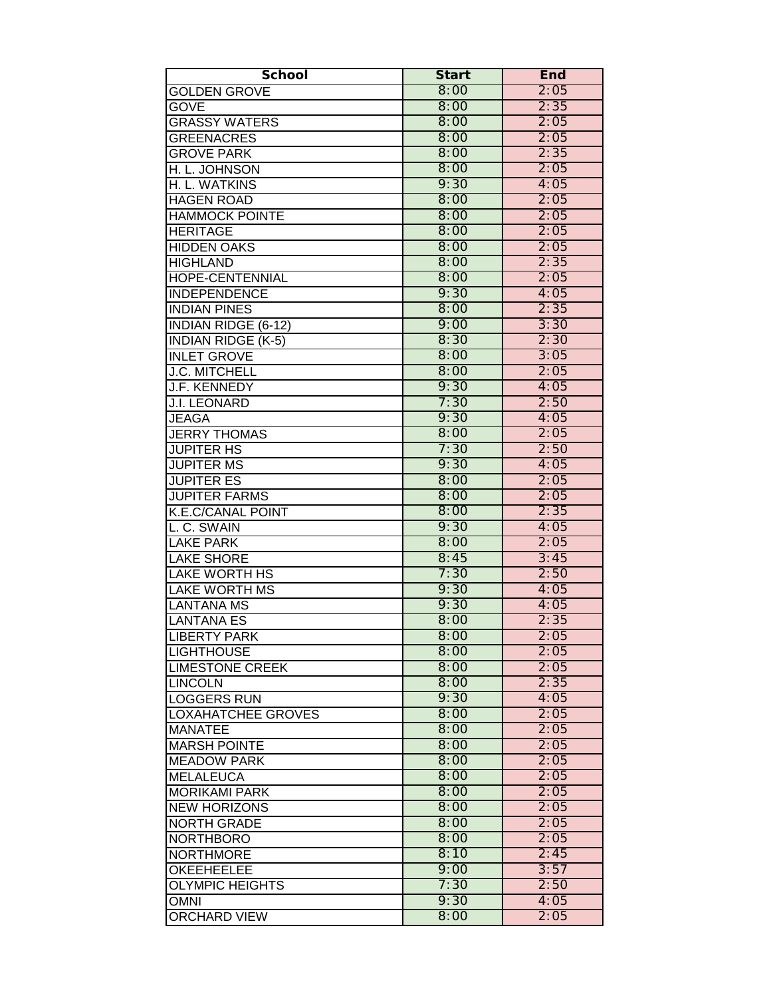| <b>School</b>              | <b>Start</b> | <b>End</b> |
|----------------------------|--------------|------------|
| <b>GOLDEN GROVE</b>        | 8:00         | 2:05       |
| <b>GOVE</b>                | 8:00         | 2:35       |
| <b>GRASSY WATERS</b>       | 8:00         | 2:05       |
| <b>GREENACRES</b>          | 8:00         | 2:05       |
| <b>GROVE PARK</b>          | 8:00         | 2:35       |
| H. L. JOHNSON              | 8:00         | 2:05       |
| H. L. WATKINS              | 9:30         | 4:05       |
| <b>HAGEN ROAD</b>          | 8:00         | 2:05       |
| <b>HAMMOCK POINTE</b>      | 8:00         | 2:05       |
| <b>HERITAGE</b>            | 8:00         | 2:05       |
| <b>HIDDEN OAKS</b>         | 8:00         | 2:05       |
| <b>HIGHLAND</b>            | 8:00         | 2:35       |
| <b>HOPE-CENTENNIAL</b>     | 8:00         | 2:05       |
| <b>INDEPENDENCE</b>        | 9:30         | 4:05       |
| <b>INDIAN PINES</b>        | 8:00         | 2:35       |
| <b>INDIAN RIDGE (6-12)</b> | 9:00         | 3:30       |
| <b>INDIAN RIDGE (K-5)</b>  | 8:30         | 2:30       |
| <b>INLET GROVE</b>         | 8:00         | 3:05       |
| <b>J.C. MITCHELL</b>       | 8:00         | 2:05       |
| J.F. KENNEDY               | 9:30         | 4:05       |
| <b>J.I. LEONARD</b>        | 7:30         | 2:50       |
| <b>JEAGA</b>               | 9:30         | 4:05       |
| <b>JERRY THOMAS</b>        | 8:00         | 2:05       |
| <b>JUPITER HS</b>          | 7:30         | 2:50       |
| <b>JUPITER MS</b>          | 9:30         | 4:05       |
| <b>JUPITER ES</b>          | 8:00         | 2:05       |
| <b>JUPITER FARMS</b>       | 8:00         | 2:05       |
| <b>K.E.C/CANAL POINT</b>   | 8:00         | 2:35       |
| L. C. SWAIN                | 9:30         | 4:05       |
| <b>LAKE PARK</b>           | 8:00         | 2:05       |
| <b>LAKE SHORE</b>          | 8:45         | 3:45       |
| <b>LAKE WORTH HS</b>       | 7:30         | 2:50       |
| <b>LAKE WORTH MS</b>       | 9:30         | 4:05       |
| <b>LANTANA MS</b>          | 9:30         | 4:05       |
| <b>LANTANA ES</b>          | 8:00         | 2:35       |
| LIBERTY PARK               | 8:00         | 2:05       |
| <b>LIGHTHOUSE</b>          | 8:00         | 2:05       |
| <b>LIMESTONE CREEK</b>     | 8:00         | 2:05       |
| <b>LINCOLN</b>             | 8:00         | 2:35       |
| <b>LOGGERS RUN</b>         | 9:30         | 4:05       |
| <b>LOXAHATCHEE GROVES</b>  | 8:00         | 2:05       |
| <b>MANATEE</b>             | 8:00         | 2:05       |
| <b>MARSH POINTE</b>        | 8:00         | 2:05       |
| <b>MEADOW PARK</b>         | 8:00         | 2:05       |
| <b>MELALEUCA</b>           | 8:00         | 2:05       |
| <b>MORIKAMI PARK</b>       | 8:00         | 2:05       |
| <b>NEW HORIZONS</b>        | 8:00         | 2:05       |
| <b>NORTH GRADE</b>         | 8:00         | 2:05       |
| <b>NORTHBORO</b>           | 8:00         | 2:05       |
| <b>NORTHMORE</b>           | 8:10         | 2:45       |
| <b>OKEEHEELEE</b>          | 9:00         | 3:57       |
| <b>OLYMPIC HEIGHTS</b>     | 7:30         | 2:50       |
| <b>OMNI</b>                | 9:30         | 4:05       |
| <b>ORCHARD VIEW</b>        | 8:00         | 2:05       |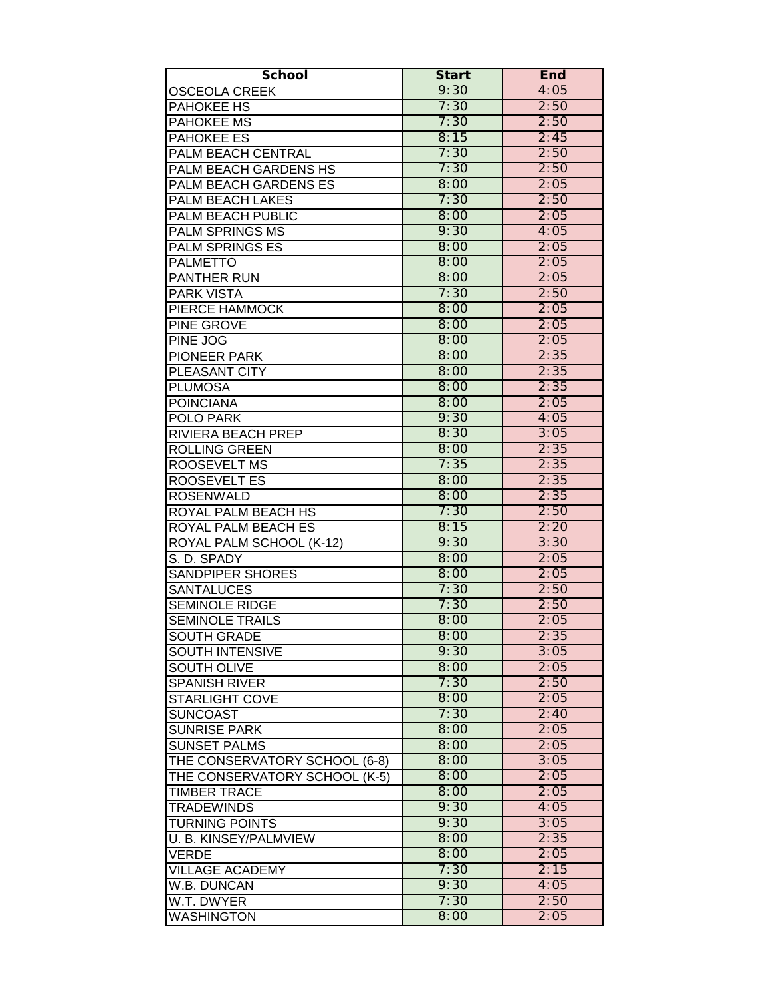| <b>School</b>                 | <b>Start</b> | <b>End</b> |
|-------------------------------|--------------|------------|
| <b>OSCEOLA CREEK</b>          | 9:30         | 4:05       |
| <b>PAHOKEE HS</b>             | 7:30         | 2:50       |
| <b>PAHOKEE MS</b>             | 7:30         | 2:50       |
| PAHOKEE ES                    | 8:15         | 2:45       |
| <b>PALM BEACH CENTRAL</b>     | 7:30         | 2:50       |
| PALM BEACH GARDENS HS         | 7:30         | 2:50       |
| PALM BEACH GARDENS ES         | 8:00         | 2:05       |
| PALM BEACH LAKES              | 7:30         | 2:50       |
| PALM BEACH PUBLIC             | 8:00         | 2:05       |
| <b>PALM SPRINGS MS</b>        | 9:30         | 4:05       |
| <b>PALM SPRINGS ES</b>        | 8:00         | 2:05       |
| <b>PALMETTO</b>               | 8:00         | 2:05       |
| <b>PANTHER RUN</b>            | 8:00         | 2:05       |
| <b>PARK VISTA</b>             | 7:30         | 2:50       |
| PIERCE HAMMOCK                | 8:00         | 2:05       |
| PINE GROVE                    | 8:00         | 2:05       |
| PINE JOG                      | 8:00         | 2:05       |
| PIONEER PARK                  | 8:00         | 2:35       |
| PLEASANT CITY                 | 8:00         | 2:35       |
| <b>PLUMOSA</b>                | 8:00         | 2:35       |
| <b>POINCIANA</b>              | 8:00         | 2:05       |
| POLO PARK                     | 9:30         | 4:05       |
| RIVIERA BEACH PREP            | 8:30         | 3:05       |
| <b>ROLLING GREEN</b>          | 8:00         | 2:35       |
| ROOSEVELT MS                  | 7:35         | 2:35       |
| <b>ROOSEVELT ES</b>           | 8:00         | 2:35       |
| <b>ROSENWALD</b>              | 8:00         | 2:35       |
| <b>ROYAL PALM BEACH HS</b>    | 7:30         | 2:50       |
| <b>ROYAL PALM BEACH ES</b>    | 8:15         | 2:20       |
| ROYAL PALM SCHOOL (K-12)      | 9:30         | 3:30       |
| S. D. SPADY                   | 8:00         | 2:05       |
| <b>SANDPIPER SHORES</b>       | 8:00         | 2:05       |
| <b>SANTALUCES</b>             | 7:30         | 2:50       |
| <b>SEMINOLE RIDGE</b>         | 7:30         | 2:50       |
| <b>SEMINOLE TRAILS</b>        | 8:00         | 2:05       |
| <b>SOUTH GRADE</b>            | 8:00         | 2:35       |
| <b>SOUTH INTENSIVE</b>        | 9:30         | 3:05       |
| <b>SOUTH OLIVE</b>            | 8:00         | 2:05       |
| <b>SPANISH RIVER</b>          | 7:30         | 2:50       |
| <b>STARLIGHT COVE</b>         | 8:00         | 2:05       |
| <b>SUNCOAST</b>               | 7:30         | 2:40       |
| <b>SUNRISE PARK</b>           | 8:00         | 2:05       |
| <b>SUNSET PALMS</b>           | 8:00         | 2:05       |
| THE CONSERVATORY SCHOOL (6-8) | 8:00         | 3:05       |
| THE CONSERVATORY SCHOOL (K-5) | 8:00         | 2:05       |
| <b>TIMBER TRACE</b>           | 8:00         | 2:05       |
| <b>TRADEWINDS</b>             | 9:30         | 4:05       |
| <b>TURNING POINTS</b>         | 9:30         | 3:05       |
| U. B. KINSEY/PALMVIEW         | 8:00         | 2:35       |
| <b>VERDE</b>                  | 8:00         | 2:05       |
| <b>VILLAGE ACADEMY</b>        | 7:30         | 2:15       |
| W.B. DUNCAN                   | 9:30         | 4:05       |
| W.T. DWYER                    | 7:30         | 2:50       |
| <b>WASHINGTON</b>             | 8:00         | 2:05       |